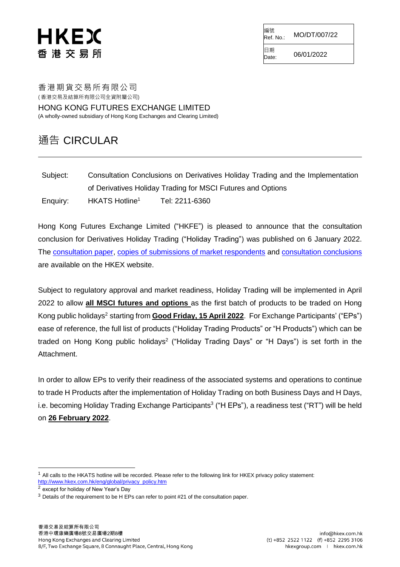# HKEX 香 港 交 易 所

編號<br>Ref. No.: Ref. No.: MO/DT/007/22

 $D_{\text{Date}}^{L2}$  06/01/2022

日期

香港期貨交易所有限公司 ( 香港交易及結算所有限公司全資附屬公司)

HONG KONG FUTURES EXCHANGE LIMITED (A wholly-owned subsidiary of Hong Kong Exchanges and Clearing Limited)

### 通告 CIRCULAR

Subject: Consultation Conclusions on Derivatives Holiday Trading and the Implementation of Derivatives Holiday Trading for MSCI Futures and Options Enquiry: HKATS Hotline<sup>1</sup> Tel: 2211-6360

Hong Kong Futures Exchange Limited ("HKFE") is pleased to announce that the consultation conclusion for Derivatives Holiday Trading ("Holiday Trading") was published on 6 January 2022. The [consultation paper,](https://www.hkex.com.hk/-/media/HKEX-Market/News/Market-Consultations/2016-Present/November-2021-Derivatives-Holiday-Trading/Consultation-Paper/cp202111.pdf) [copies of submissions of market respondents](https://www.hkex.com.hk/News/Market-Consultations/2016-to-Present/Responses_Jan_2022?sc_lang=en) and [consultation conclusions](https://www.hkex.com.hk/-/media/HKEX-Market/News/Market-Consultations/2016-Present/November-2021-Derivatives-Holiday-Trading/Conclusions-(Jan-2022)/cp202201cc.pdf) are available on the HKEX website.

Subject to regulatory approval and market readiness, Holiday Trading will be implemented in April 2022 to allow **all MSCI futures and options** as the first batch of products to be traded on Hong Kong public holidays<sup>2</sup> starting from **Good Friday, 15 April 2022**. For Exchange Participants' ("EPs") ease of reference, the full list of products ("Holiday Trading Products" or "H Products") which can be traded on Hong Kong public holidays<sup>2</sup> ("Holiday Trading Days" or "H Days") is set forth in the Attachment.

In order to allow EPs to verify their readiness of the associated systems and operations to continue to trade H Products after the implementation of Holiday Trading on both Business Days and H Days, i.e. becoming Holiday Trading Exchange Participants<sup>3</sup> ("H EPs"), a readiness test ("RT") will be held on **26 February 2022**.

l

 $1$  All calls to the HKATS hotline will be recorded. Please refer to the following link for HKEX privacy policy statement: [http://www.hkex.com.hk/eng/global/privacy\\_policy.htm](http://www.hkex.com.hk/eng/global/privacy_policy.htm)

<sup>2</sup> except for holiday of New Year's Day

<sup>&</sup>lt;sup>3</sup> Details of the requirement to be H EPs can refer to point #21 of the consultation paper.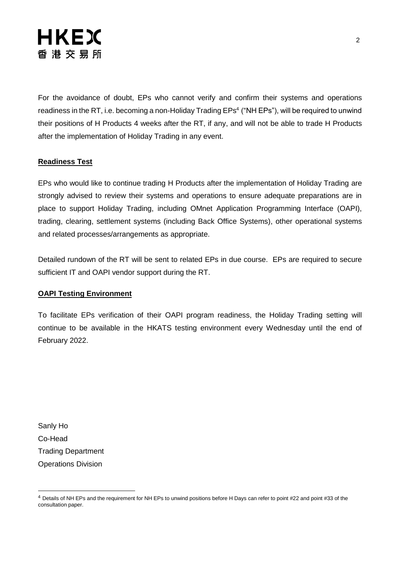

For the avoidance of doubt, EPs who cannot verify and confirm their systems and operations readiness in the RT, i.e. becoming a non-Holiday Trading EPs<sup>4</sup> ("NH EPs"), will be required to unwind their positions of H Products 4 weeks after the RT, if any, and will not be able to trade H Products after the implementation of Holiday Trading in any event.

#### **Readiness Test**

EPs who would like to continue trading H Products after the implementation of Holiday Trading are strongly advised to review their systems and operations to ensure adequate preparations are in place to support Holiday Trading, including OMnet Application Programming Interface (OAPI), trading, clearing, settlement systems (including Back Office Systems), other operational systems and related processes/arrangements as appropriate.

Detailed rundown of the RT will be sent to related EPs in due course. EPs are required to secure sufficient IT and OAPI vendor support during the RT.

#### **OAPI Testing Environment**

To facilitate EPs verification of their OAPI program readiness, the Holiday Trading setting will continue to be available in the HKATS testing environment every Wednesday until the end of February 2022.

Sanly Ho Co-Head Trading Department Operations Division

l

<sup>4</sup> Details of NH EPs and the requirement for NH EPs to unwind positions before H Days can refer to point #22 and point #33 of the consultation paper.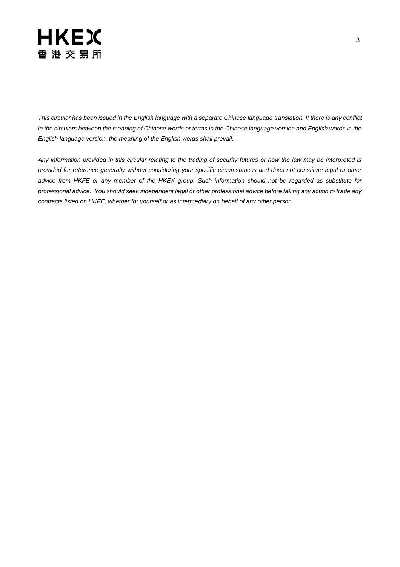### **HKEX** 香港交易所

*This circular has been issued in the English language with a separate Chinese language translation. If there is any conflict in the circulars between the meaning of Chinese words or terms in the Chinese language version and English words in the English language version, the meaning of the English words shall prevail.*

*Any information provided in this circular relating to the trading of security futures or how the law may be interpreted is provided for reference generally without considering your specific circumstances and does not constitute legal or other advice from HKFE or any member of the HKEX group. Such information should not be regarded as substitute for professional advice. You should seek independent legal or other professional advice before taking any action to trade any contracts listed on HKFE, whether for yourself or as intermediary on behalf of any other person.*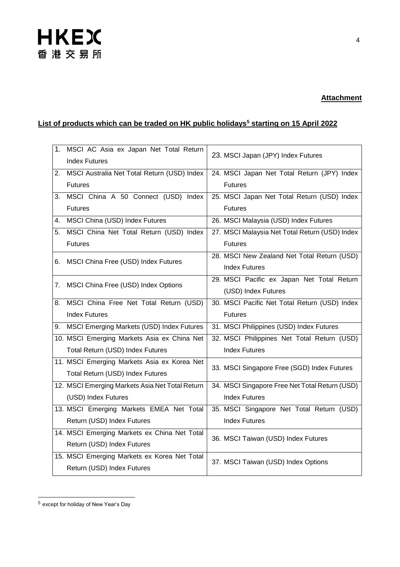# **HKEX** 香港交易所

#### **Attachment**

### **List of products which can be traded on HK public holidays<sup>5</sup> starting on 15 April 2022**

|    | 1. MSCI AC Asia ex Japan Net Total Return<br><b>Index Futures</b> | 23. MSCI Japan (JPY) Index Futures             |
|----|-------------------------------------------------------------------|------------------------------------------------|
|    | 2. MSCI Australia Net Total Return (USD) Index                    | 24. MSCI Japan Net Total Return (JPY) Index    |
|    | <b>Futures</b>                                                    | <b>Futures</b>                                 |
| 3. | MSCI China A 50 Connect (USD) Index                               | 25. MSCI Japan Net Total Return (USD) Index    |
|    | <b>Futures</b>                                                    | <b>Futures</b>                                 |
| 4. | MSCI China (USD) Index Futures                                    | 26. MSCI Malaysia (USD) Index Futures          |
| 5. | MSCI China Net Total Return (USD) Index                           | 27. MSCI Malaysia Net Total Return (USD) Index |
|    | <b>Futures</b>                                                    | <b>Futures</b>                                 |
|    | 6. MSCI China Free (USD) Index Futures                            | 28. MSCI New Zealand Net Total Return (USD)    |
|    |                                                                   | <b>Index Futures</b>                           |
| 7. | MSCI China Free (USD) Index Options                               | 29. MSCI Pacific ex Japan Net Total Return     |
|    |                                                                   | (USD) Index Futures                            |
| 8. | MSCI China Free Net Total Return (USD)                            | 30. MSCI Pacific Net Total Return (USD) Index  |
|    | <b>Index Futures</b>                                              | <b>Futures</b>                                 |
| 9. | MSCI Emerging Markets (USD) Index Futures                         | 31. MSCI Philippines (USD) Index Futures       |
|    | 10. MSCI Emerging Markets Asia ex China Net                       | 32. MSCI Philippines Net Total Return (USD)    |
|    | Total Return (USD) Index Futures                                  | <b>Index Futures</b>                           |
|    | 11. MSCI Emerging Markets Asia ex Korea Net                       | 33. MSCI Singapore Free (SGD) Index Futures    |
|    | Total Return (USD) Index Futures                                  |                                                |
|    | 12. MSCI Emerging Markets Asia Net Total Return                   | 34. MSCI Singapore Free Net Total Return (USD) |
|    | (USD) Index Futures                                               | <b>Index Futures</b>                           |
|    | 13. MSCI Emerging Markets EMEA Net Total                          | 35. MSCI Singapore Net Total Return (USD)      |
|    | Return (USD) Index Futures                                        | <b>Index Futures</b>                           |
|    | 14. MSCI Emerging Markets ex China Net Total                      | 36. MSCI Taiwan (USD) Index Futures            |
|    | Return (USD) Index Futures                                        |                                                |
|    | 15. MSCI Emerging Markets ex Korea Net Total                      | 37. MSCI Taiwan (USD) Index Options            |
|    | Return (USD) Index Futures                                        |                                                |

<sup>5</sup> except for holiday of New Year's Day

l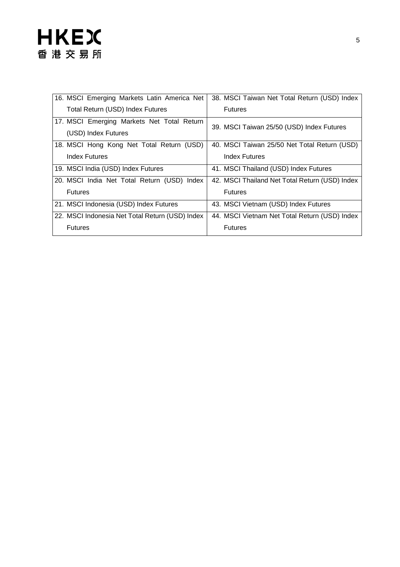# **HKEX** 香港交易所

| 16. MSCI Emerging Markets Latin America Net     | 38. MSCI Taiwan Net Total Return (USD) Index   |
|-------------------------------------------------|------------------------------------------------|
| Total Return (USD) Index Futures                | <b>Futures</b>                                 |
| 17. MSCI Emerging Markets Net Total Return      | 39. MSCI Taiwan 25/50 (USD) Index Futures      |
| (USD) Index Futures                             |                                                |
| 18. MSCI Hong Kong Net Total Return (USD)       | 40. MSCI Taiwan 25/50 Net Total Return (USD)   |
| Index Futures                                   | <b>Index Futures</b>                           |
| 19. MSCI India (USD) Index Futures              | 41. MSCI Thailand (USD) Index Futures          |
| 20. MSCI India Net Total Return (USD) Index     | 42. MSCI Thailand Net Total Return (USD) Index |
| <b>Futures</b>                                  | <b>Futures</b>                                 |
| 21. MSCI Indonesia (USD) Index Futures          | 43. MSCI Vietnam (USD) Index Futures           |
| 22. MSCI Indonesia Net Total Return (USD) Index | 44. MSCI Vietnam Net Total Return (USD) Index  |
| <b>Futures</b>                                  | <b>Futures</b>                                 |